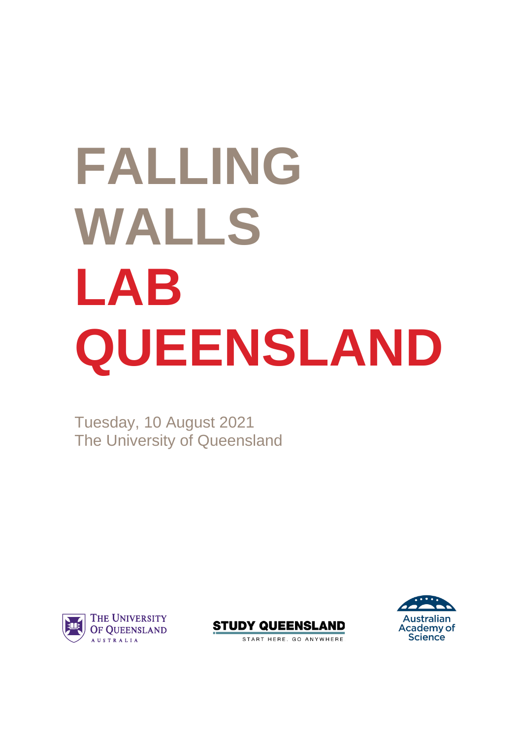# **FALLING WALLS LAB QUEENSLAND**

Tuesday, 10 August 2021 The University of Queensland







START HERE. GO ANYWHERE.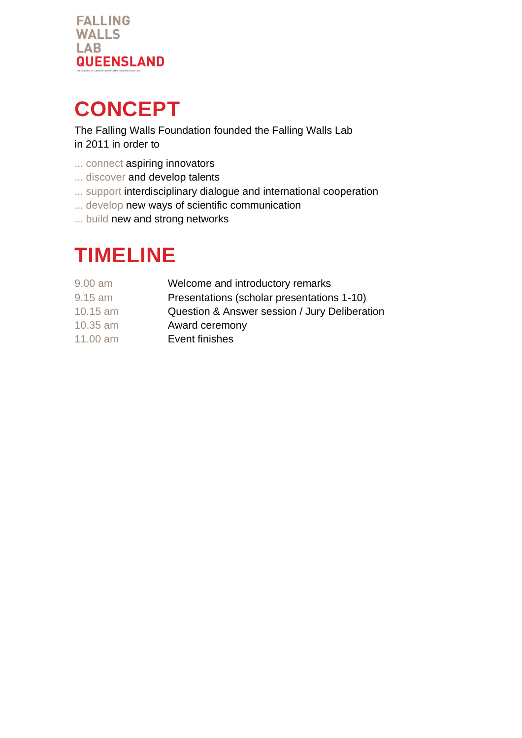

### **CONCEPT**

The Falling Walls Foundation founded the Falling Walls Lab in 2011 in order to

- ... connect aspiring innovators
- ... discover and develop talents
- ... support interdisciplinary dialogue and international cooperation
- ... develop new ways of scientific communication
- ... build new and strong networks

### **TIMELINE**

| $9.00$ am  | Welcome and introductory remarks              |
|------------|-----------------------------------------------|
| $9.15$ am  | Presentations (scholar presentations 1-10)    |
| $10.15$ am | Question & Answer session / Jury Deliberation |
| 10.35 am   | Award ceremony                                |
| 11.00 am   | Event finishes                                |
|            |                                               |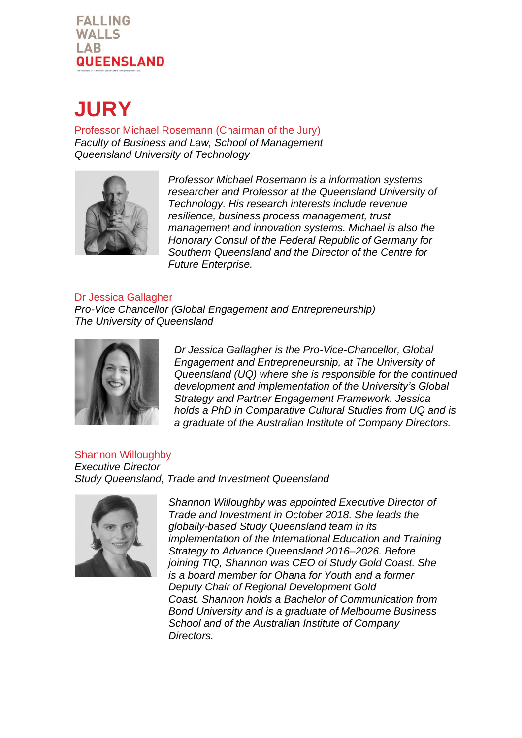#### **FALLING WALLS LAB QUEENSLAND**

### **JURY**

Professor Michael Rosemann (Chairman of the Jury) *Faculty of Business and Law, School of Management Queensland University of Technology* 



*Professor Michael Rosemann is a information systems researcher and Professor at the Queensland University of Technology. His research interests include revenue resilience, business process management, trust management and innovation systems. Michael is also the Honorary Consul of the Federal Republic of Germany for Southern Queensland and the Director of the Centre for Future Enterprise.*

#### Dr Jessica Gallagher

*Pro-Vice Chancellor (Global Engagement and Entrepreneurship) The University of Queensland* 



*Dr Jessica Gallagher is the Pro-Vice-Chancellor, Global Engagement and Entrepreneurship, at The University of Queensland (UQ) where she is responsible for the continued development and implementation of the University's Global Strategy and Partner Engagement Framework. Jessica holds a PhD in Comparative Cultural Studies from UQ and is a graduate of the Australian Institute of Company Directors.* 

Shannon Willoughby *Executive Director Study Queensland, Trade and Investment Queensland*



*Shannon Willoughby was appointed Executive Director of Trade and Investment in October 2018. She leads the globally-based Study Queensland team in its implementation of the International Education and Training Strategy to Advance Queensland 2016–2026. Before joining TIQ, Shannon was CEO of Study Gold Coast. She is a board member for Ohana for Youth and a former Deputy Chair of Regional Development Gold Coast. Shannon holds a Bachelor of Communication from Bond University and is a graduate of Melbourne Business School and of the Australian Institute of Company Directors.*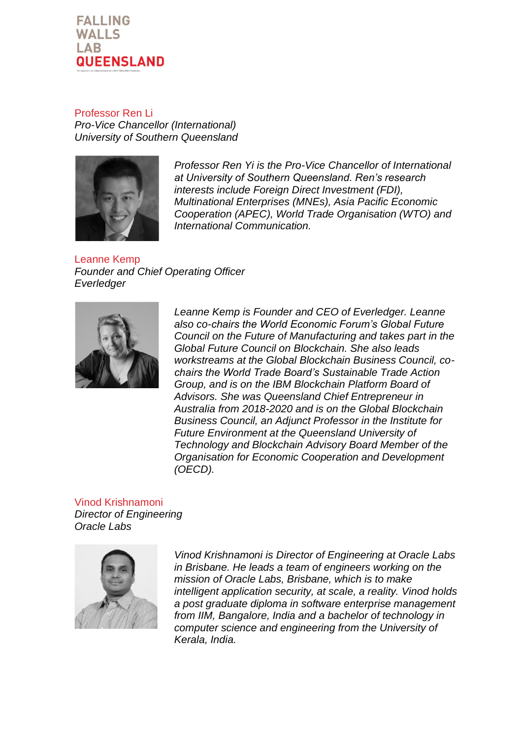

Professor Ren Li *Pro-Vice Chancellor (International) University of Southern Queensland* 



*Professor Ren Yi is the Pro-Vice Chancellor of International at University of Southern Queensland. Ren's research interests include Foreign Direct Investment (FDI), Multinational Enterprises (MNEs), Asia Pacific Economic Cooperation (APEC), World Trade Organisation (WTO) and International Communication.*

Leanne Kemp *Founder and Chief Operating Officer Everledger* 



*Leanne Kemp is Founder and CEO of Everledger. Leanne also co-chairs the World Economic Forum's Global Future Council on the Future of Manufacturing and takes part in the Global Future Council on Blockchain. She also leads workstreams at the Global Blockchain Business Council, cochairs the World Trade Board's Sustainable Trade Action Group, and is on the IBM Blockchain Platform Board of Advisors. She was Queensland Chief Entrepreneur in Australia from 2018-2020 and is on the Global Blockchain Business Council, an Adjunct Professor in the Institute for Future Environment at the Queensland University of Technology and Blockchain Advisory Board Member of the Organisation for Economic Cooperation and Development (OECD).*

Vinod Krishnamoni *Director of Engineering Oracle Labs*



*Vinod Krishnamoni is Director of Engineering at Oracle Labs in Brisbane. He leads a team of engineers working on the mission of Oracle Labs, Brisbane, which is to make intelligent application security, at scale, a reality. Vinod holds a post graduate diploma in software enterprise management from IIM, Bangalore, India and a bachelor of technology in computer science and engineering from the University of Kerala, India.*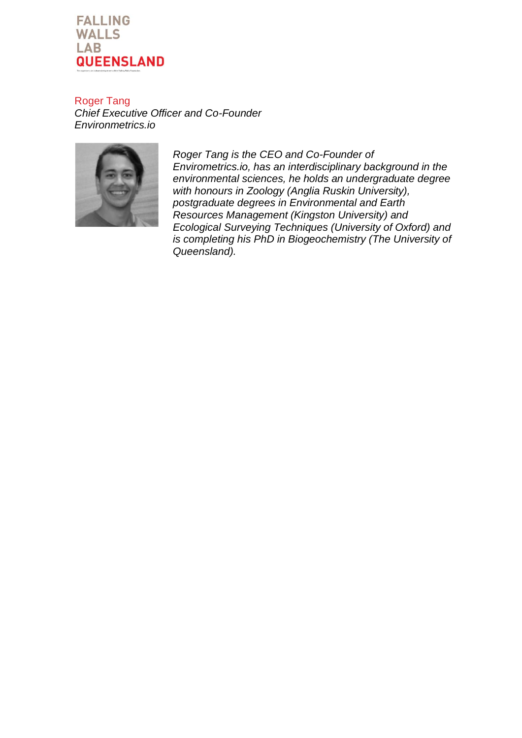

Roger Tang *Chief Executive Officer and Co-Founder Environmetrics.io*



*Roger Tang is the CEO and Co-Founder of Envirometrics.io, has an interdisciplinary background in the environmental sciences, he holds an undergraduate degree with honours in Zoology (Anglia Ruskin University), postgraduate degrees in Environmental and Earth Resources Management (Kingston University) and Ecological Surveying Techniques (University of Oxford) and is completing his PhD in Biogeochemistry (The University of Queensland).*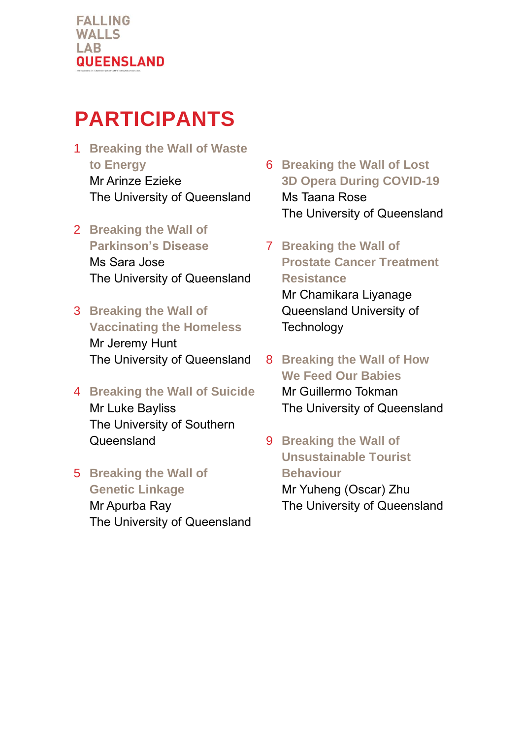### **PARTICIPANTS**

1 **Breaking the Wall of Waste to Energy** Mr Arinze Ezieke The University of Queensland

#### 2 **Breaking the Wall of**

**Parkinson's Disease**  Ms Sara Jose The University of Queensland

#### 3 **Breaking the Wall of Vaccinating the Homeless**  Mr Jeremy Hunt The University of Queensland

#### 4 **Breaking the Wall of Suicide**  Mr Luke Bayliss The University of Southern **Queensland**

5 **Breaking the Wall of Genetic Linkage** Mr Apurba Ray The University of Queensland

- 6 **Breaking the Wall of Lost 3D Opera During COVID-19** Ms Taana Rose The University of Queensland
- 7 **Breaking the Wall of Prostate Cancer Treatment Resistance** Mr Chamikara Liyanage Queensland University of **Technology**
- 8 **Breaking the Wall of How We Feed Our Babies** Mr Guillermo Tokman The University of Queensland
- 9 **Breaking the Wall of Unsustainable Tourist Behaviour**  Mr Yuheng (Oscar) Zhu The University of Queensland